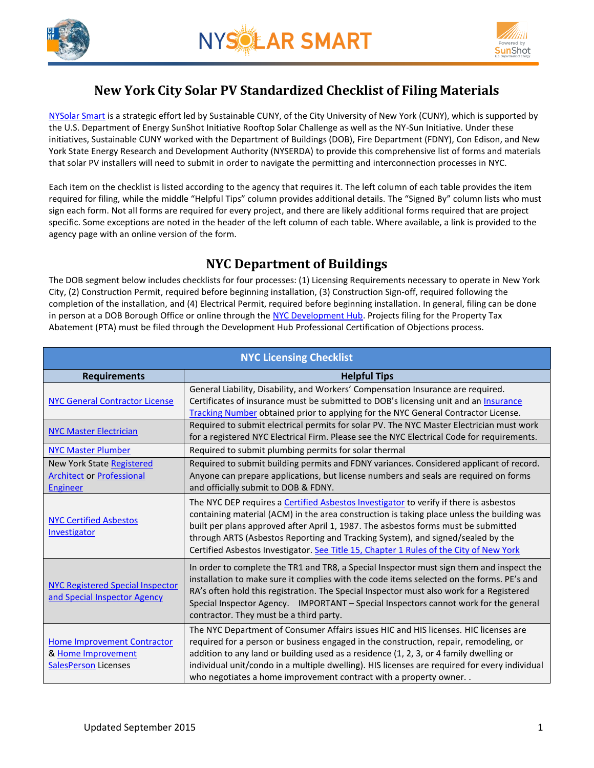



# **New York City Solar PV Standardized Checklist of Filing Materials**

[NYSolar Smart](http://www.cuny.edu/about/resources/sustainability/nyssolar.html) is a strategic effort led by Sustainable CUNY, of the City University of New York (CUNY), which is supported by the U.S. Department of Energy SunShot Initiative Rooftop Solar Challenge as well as the NY-Sun Initiative. Under these initiatives, Sustainable CUNY worked with the Department of Buildings (DOB), Fire Department (FDNY), Con Edison, and New York State Energy Research and Development Authority (NYSERDA) to provide this comprehensive list of forms and materials that solar PV installers will need to submit in order to navigate the permitting and interconnection processes in NYC.

Each item on the checklist is listed according to the agency that requires it. The left column of each table provides the item required for filing, while the middle "Helpful Tips" column provides additional details. The "Signed By" column lists who must sign each form. Not all forms are required for every project, and there are likely additional forms required that are project specific. Some exceptions are noted in the header of the left column of each table. Where available, a link is provided to the agency page with an online version of the form.

## **NYC Department of Buildings**

The DOB segment below includes checklists for four processes: (1) Licensing Requirements necessary to operate in New York City, (2) Construction Permit, required before beginning installation, (3) Construction Sign-off, required following the completion of the installation, and (4) Electrical Permit, required before beginning installation. In general, filing can be done in person at a DOB Borough Office or online through the [NYC Development Hub.](http://www.nyc.gov/html/dob/html/development/electronic_filing.shtml) Projects filing for the Property Tax Abatement (PTA) must be filed through the Development Hub Professional Certification of Objections process.

| <b>NYC Licensing Checklist</b>                                                          |                                                                                                                                                                                                                                                                                                                                                                                                                                                        |  |
|-----------------------------------------------------------------------------------------|--------------------------------------------------------------------------------------------------------------------------------------------------------------------------------------------------------------------------------------------------------------------------------------------------------------------------------------------------------------------------------------------------------------------------------------------------------|--|
| <b>Requirements</b>                                                                     | <b>Helpful Tips</b>                                                                                                                                                                                                                                                                                                                                                                                                                                    |  |
| <b>NYC General Contractor License</b>                                                   | General Liability, Disability, and Workers' Compensation Insurance are required.<br>Certificates of insurance must be submitted to DOB's licensing unit and an Insurance<br>Tracking Number obtained prior to applying for the NYC General Contractor License.                                                                                                                                                                                         |  |
| <b>NYC Master Electrician</b>                                                           | Required to submit electrical permits for solar PV. The NYC Master Electrician must work<br>for a registered NYC Electrical Firm. Please see the NYC Electrical Code for requirements.                                                                                                                                                                                                                                                                 |  |
| <b>NYC Master Plumber</b>                                                               | Required to submit plumbing permits for solar thermal                                                                                                                                                                                                                                                                                                                                                                                                  |  |
| <b>New York State Registered</b><br><b>Architect or Professional</b><br>Engineer        | Required to submit building permits and FDNY variances. Considered applicant of record.<br>Anyone can prepare applications, but license numbers and seals are required on forms<br>and officially submit to DOB & FDNY.                                                                                                                                                                                                                                |  |
| <b>NYC Certified Asbestos</b><br>Investigator                                           | The NYC DEP requires a Certified Asbestos Investigator to verify if there is asbestos<br>containing material (ACM) in the area construction is taking place unless the building was<br>built per plans approved after April 1, 1987. The asbestos forms must be submitted<br>through ARTS (Asbestos Reporting and Tracking System), and signed/sealed by the<br>Certified Asbestos Investigator. See Title 15, Chapter 1 Rules of the City of New York |  |
| <b>NYC Registered Special Inspector</b><br>and Special Inspector Agency                 | In order to complete the TR1 and TR8, a Special Inspector must sign them and inspect the<br>installation to make sure it complies with the code items selected on the forms. PE's and<br>RA's often hold this registration. The Special Inspector must also work for a Registered<br>Special Inspector Agency. IMPORTANT - Special Inspectors cannot work for the general<br>contractor. They must be a third party.                                   |  |
| <b>Home Improvement Contractor</b><br>& Home Improvement<br><b>SalesPerson Licenses</b> | The NYC Department of Consumer Affairs issues HIC and HIS licenses. HIC licenses are<br>required for a person or business engaged in the construction, repair, remodeling, or<br>addition to any land or building used as a residence (1, 2, 3, or 4 family dwelling or<br>individual unit/condo in a multiple dwelling). HIS licenses are required for every individual<br>who negotiates a home improvement contract with a property owner           |  |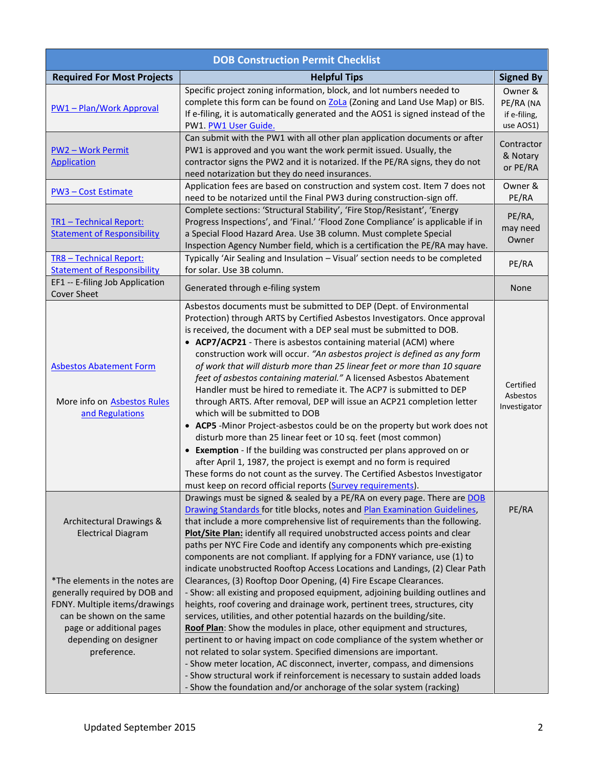| <b>DOB Construction Permit Checklist</b>                                                                                                                                                                                                                  |                                                                                                                                                                                                                                                                                                                                                                                                                                                                                                                                                                                                                                                                                                                                                                                                                                                                                                                                                                                                                                                                                                                                                                                                                                                                                                                                    |                                                   |
|-----------------------------------------------------------------------------------------------------------------------------------------------------------------------------------------------------------------------------------------------------------|------------------------------------------------------------------------------------------------------------------------------------------------------------------------------------------------------------------------------------------------------------------------------------------------------------------------------------------------------------------------------------------------------------------------------------------------------------------------------------------------------------------------------------------------------------------------------------------------------------------------------------------------------------------------------------------------------------------------------------------------------------------------------------------------------------------------------------------------------------------------------------------------------------------------------------------------------------------------------------------------------------------------------------------------------------------------------------------------------------------------------------------------------------------------------------------------------------------------------------------------------------------------------------------------------------------------------------|---------------------------------------------------|
| <b>Required For Most Projects</b>                                                                                                                                                                                                                         | <b>Helpful Tips</b>                                                                                                                                                                                                                                                                                                                                                                                                                                                                                                                                                                                                                                                                                                                                                                                                                                                                                                                                                                                                                                                                                                                                                                                                                                                                                                                | <b>Signed By</b>                                  |
| <b>PW1-Plan/Work Approval</b>                                                                                                                                                                                                                             | Specific project zoning information, block, and lot numbers needed to<br>complete this form can be found on ZoLa (Zoning and Land Use Map) or BIS.<br>If e-filing, it is automatically generated and the AOS1 is signed instead of the<br>PW1. PW1 User Guide.                                                                                                                                                                                                                                                                                                                                                                                                                                                                                                                                                                                                                                                                                                                                                                                                                                                                                                                                                                                                                                                                     | Owner &<br>PE/RA (NA<br>if e-filing,<br>use AOS1) |
| <b>PW2 - Work Permit</b><br><b>Application</b>                                                                                                                                                                                                            | Can submit with the PW1 with all other plan application documents or after<br>PW1 is approved and you want the work permit issued. Usually, the<br>contractor signs the PW2 and it is notarized. If the PE/RA signs, they do not<br>need notarization but they do need insurances.                                                                                                                                                                                                                                                                                                                                                                                                                                                                                                                                                                                                                                                                                                                                                                                                                                                                                                                                                                                                                                                 | Contractor<br>& Notary<br>or PE/RA                |
| <b>PW3 - Cost Estimate</b>                                                                                                                                                                                                                                | Application fees are based on construction and system cost. Item 7 does not<br>need to be notarized until the Final PW3 during construction-sign off.                                                                                                                                                                                                                                                                                                                                                                                                                                                                                                                                                                                                                                                                                                                                                                                                                                                                                                                                                                                                                                                                                                                                                                              | Owner &<br>PE/RA                                  |
| TR1 - Technical Report:<br><b>Statement of Responsibility</b>                                                                                                                                                                                             | Complete sections: 'Structural Stability', 'Fire Stop/Resistant', 'Energy<br>Progress Inspections', and 'Final.' 'Flood Zone Compliance' is applicable if in<br>a Special Flood Hazard Area. Use 3B column. Must complete Special<br>Inspection Agency Number field, which is a certification the PE/RA may have.                                                                                                                                                                                                                                                                                                                                                                                                                                                                                                                                                                                                                                                                                                                                                                                                                                                                                                                                                                                                                  | PE/RA,<br>may need<br>Owner                       |
| TR8 - Technical Report:<br><b>Statement of Responsibility</b>                                                                                                                                                                                             | Typically 'Air Sealing and Insulation - Visual' section needs to be completed<br>for solar. Use 3B column.                                                                                                                                                                                                                                                                                                                                                                                                                                                                                                                                                                                                                                                                                                                                                                                                                                                                                                                                                                                                                                                                                                                                                                                                                         | PE/RA                                             |
| EF1 -- E-filing Job Application<br><b>Cover Sheet</b>                                                                                                                                                                                                     | Generated through e-filing system                                                                                                                                                                                                                                                                                                                                                                                                                                                                                                                                                                                                                                                                                                                                                                                                                                                                                                                                                                                                                                                                                                                                                                                                                                                                                                  | None                                              |
| <b>Asbestos Abatement Form</b><br>More info on <b>Asbestos Rules</b><br>and Regulations                                                                                                                                                                   | Asbestos documents must be submitted to DEP (Dept. of Environmental<br>Protection) through ARTS by Certified Asbestos Investigators. Once approval<br>is received, the document with a DEP seal must be submitted to DOB.<br>• ACP7/ACP21 - There is asbestos containing material (ACM) where<br>construction work will occur. "An asbestos project is defined as any form<br>of work that will disturb more than 25 linear feet or more than 10 square<br>feet of asbestos containing material." A licensed Asbestos Abatement<br>Handler must be hired to remediate it. The ACP7 is submitted to DEP<br>through ARTS. After removal, DEP will issue an ACP21 completion letter<br>which will be submitted to DOB<br>• ACP5 -Minor Project-asbestos could be on the property but work does not<br>disturb more than 25 linear feet or 10 sq. feet (most common)<br>• Exemption - If the building was constructed per plans approved on or<br>after April 1, 1987, the project is exempt and no form is required<br>These forms do not count as the survey. The Certified Asbestos Investigator<br>must keep on record official reports (Survey requirements).                                                                                                                                                                     | Certified<br>Asbestos<br>Investigator             |
| Architectural Drawings &<br><b>Electrical Diagram</b><br>*The elements in the notes are<br>generally required by DOB and<br>FDNY. Multiple items/drawings<br>can be shown on the same<br>page or additional pages<br>depending on designer<br>preference. | Drawings must be signed & sealed by a PE/RA on every page. There are DOB<br>Drawing Standards for title blocks, notes and Plan Examination Guidelines,<br>that include a more comprehensive list of requirements than the following.<br>Plot/Site Plan: identify all required unobstructed access points and clear<br>paths per NYC Fire Code and identify any components which pre-existing<br>components are not compliant. If applying for a FDNY variance, use (1) to<br>indicate unobstructed Rooftop Access Locations and Landings, (2) Clear Path<br>Clearances, (3) Rooftop Door Opening, (4) Fire Escape Clearances.<br>- Show: all existing and proposed equipment, adjoining building outlines and<br>heights, roof covering and drainage work, pertinent trees, structures, city<br>services, utilities, and other potential hazards on the building/site.<br>Roof Plan: Show the modules in place, other equipment and structures,<br>pertinent to or having impact on code compliance of the system whether or<br>not related to solar system. Specified dimensions are important.<br>- Show meter location, AC disconnect, inverter, compass, and dimensions<br>- Show structural work if reinforcement is necessary to sustain added loads<br>- Show the foundation and/or anchorage of the solar system (racking) | PE/RA                                             |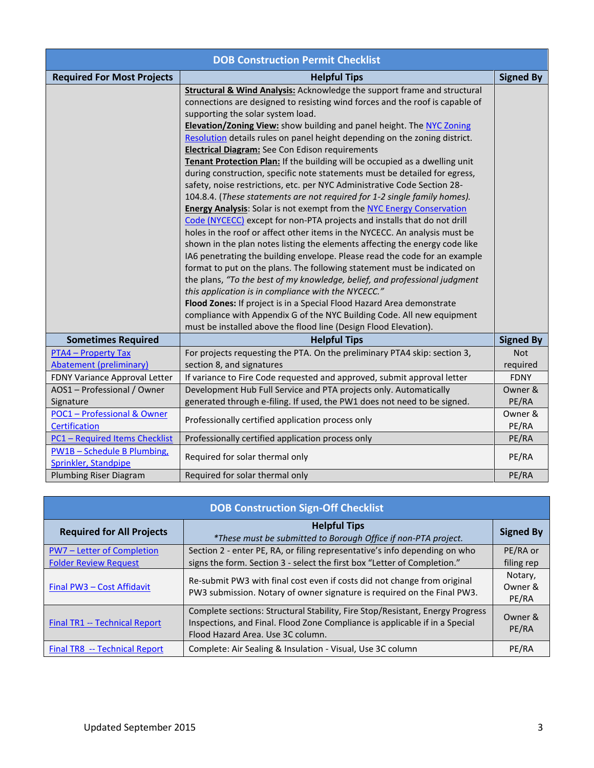| <b>DOB Construction Permit Checklist</b>                     |                                                                                                                                                                                                                                                                                                                                                                                                                                                                                                                                                                                                                                                                                                                                                                                                                                                                                                                                                                                                                                                                                                                                                                                                                                                                                                                                                                                                                                                                                                                                                                                                |                        |
|--------------------------------------------------------------|------------------------------------------------------------------------------------------------------------------------------------------------------------------------------------------------------------------------------------------------------------------------------------------------------------------------------------------------------------------------------------------------------------------------------------------------------------------------------------------------------------------------------------------------------------------------------------------------------------------------------------------------------------------------------------------------------------------------------------------------------------------------------------------------------------------------------------------------------------------------------------------------------------------------------------------------------------------------------------------------------------------------------------------------------------------------------------------------------------------------------------------------------------------------------------------------------------------------------------------------------------------------------------------------------------------------------------------------------------------------------------------------------------------------------------------------------------------------------------------------------------------------------------------------------------------------------------------------|------------------------|
| <b>Required For Most Projects</b>                            | <b>Helpful Tips</b>                                                                                                                                                                                                                                                                                                                                                                                                                                                                                                                                                                                                                                                                                                                                                                                                                                                                                                                                                                                                                                                                                                                                                                                                                                                                                                                                                                                                                                                                                                                                                                            | <b>Signed By</b>       |
|                                                              | <b>Structural &amp; Wind Analysis:</b> Acknowledge the support frame and structural<br>connections are designed to resisting wind forces and the roof is capable of<br>supporting the solar system load.<br>Elevation/Zoning View: show building and panel height. The NYC Zoning<br>Resolution details rules on panel height depending on the zoning district.<br><b>Electrical Diagram:</b> See Con Edison requirements<br>Tenant Protection Plan: If the building will be occupied as a dwelling unit<br>during construction, specific note statements must be detailed for egress,<br>safety, noise restrictions, etc. per NYC Administrative Code Section 28-<br>104.8.4. (These statements are not required for 1-2 single family homes).<br><b>Energy Analysis:</b> Solar is not exempt from the NYC Energy Conservation<br>Code (NYCECC) except for non-PTA projects and installs that do not drill<br>holes in the roof or affect other items in the NYCECC. An analysis must be<br>shown in the plan notes listing the elements affecting the energy code like<br>IA6 penetrating the building envelope. Please read the code for an example<br>format to put on the plans. The following statement must be indicated on<br>the plans, "To the best of my knowledge, belief, and professional judgment<br>this application is in compliance with the NYCECC."<br>Flood Zones: If project is in a Special Flood Hazard Area demonstrate<br>compliance with Appendix G of the NYC Building Code. All new equipment<br>must be installed above the flood line (Design Flood Elevation). |                        |
| <b>Sometimes Required</b>                                    | <b>Helpful Tips</b>                                                                                                                                                                                                                                                                                                                                                                                                                                                                                                                                                                                                                                                                                                                                                                                                                                                                                                                                                                                                                                                                                                                                                                                                                                                                                                                                                                                                                                                                                                                                                                            | <b>Signed By</b>       |
| <b>PTA4 - Property Tax</b><br><b>Abatement (preliminary)</b> | For projects requesting the PTA. On the preliminary PTA4 skip: section 3,<br>section 8, and signatures                                                                                                                                                                                                                                                                                                                                                                                                                                                                                                                                                                                                                                                                                                                                                                                                                                                                                                                                                                                                                                                                                                                                                                                                                                                                                                                                                                                                                                                                                         | <b>Not</b><br>required |
| FDNY Variance Approval Letter                                | If variance to Fire Code requested and approved, submit approval letter                                                                                                                                                                                                                                                                                                                                                                                                                                                                                                                                                                                                                                                                                                                                                                                                                                                                                                                                                                                                                                                                                                                                                                                                                                                                                                                                                                                                                                                                                                                        | <b>FDNY</b>            |
| AOS1 - Professional / Owner                                  | Development Hub Full Service and PTA projects only. Automatically                                                                                                                                                                                                                                                                                                                                                                                                                                                                                                                                                                                                                                                                                                                                                                                                                                                                                                                                                                                                                                                                                                                                                                                                                                                                                                                                                                                                                                                                                                                              | Owner &                |
| Signature                                                    | generated through e-filing. If used, the PW1 does not need to be signed.                                                                                                                                                                                                                                                                                                                                                                                                                                                                                                                                                                                                                                                                                                                                                                                                                                                                                                                                                                                                                                                                                                                                                                                                                                                                                                                                                                                                                                                                                                                       | PE/RA                  |
| <b>POC1</b> - Professional & Owner<br><b>Certification</b>   | Professionally certified application process only                                                                                                                                                                                                                                                                                                                                                                                                                                                                                                                                                                                                                                                                                                                                                                                                                                                                                                                                                                                                                                                                                                                                                                                                                                                                                                                                                                                                                                                                                                                                              | Owner &<br>PE/RA       |
| <b>PC1 - Required Items Checklist</b>                        | Professionally certified application process only                                                                                                                                                                                                                                                                                                                                                                                                                                                                                                                                                                                                                                                                                                                                                                                                                                                                                                                                                                                                                                                                                                                                                                                                                                                                                                                                                                                                                                                                                                                                              | PE/RA                  |
| <b>PW1B-Schedule B Plumbing,</b><br>Sprinkler, Standpipe     | Required for solar thermal only                                                                                                                                                                                                                                                                                                                                                                                                                                                                                                                                                                                                                                                                                                                                                                                                                                                                                                                                                                                                                                                                                                                                                                                                                                                                                                                                                                                                                                                                                                                                                                | PE/RA                  |
| Plumbing Riser Diagram                                       | Required for solar thermal only                                                                                                                                                                                                                                                                                                                                                                                                                                                                                                                                                                                                                                                                                                                                                                                                                                                                                                                                                                                                                                                                                                                                                                                                                                                                                                                                                                                                                                                                                                                                                                | PE/RA                  |

| <b>DOB Construction Sign-Off Checklist</b> |                                                                                                                                                                                                   |                             |
|--------------------------------------------|---------------------------------------------------------------------------------------------------------------------------------------------------------------------------------------------------|-----------------------------|
| <b>Required for All Projects</b>           | <b>Helpful Tips</b><br>*These must be submitted to Borough Office if non-PTA project.                                                                                                             | <b>Signed By</b>            |
| PW7 - Letter of Completion                 | Section 2 - enter PE, RA, or filing representative's info depending on who                                                                                                                        | PE/RA or                    |
| <b>Folder Review Request</b>               | signs the form. Section 3 - select the first box "Letter of Completion."                                                                                                                          | filing rep                  |
| Final PW3 - Cost Affidavit                 | Re-submit PW3 with final cost even if costs did not change from original<br>PW3 submission. Notary of owner signature is required on the Final PW3.                                               | Notary,<br>Owner &<br>PE/RA |
| <b>Final TR1 -- Technical Report</b>       | Complete sections: Structural Stability, Fire Stop/Resistant, Energy Progress<br>Inspections, and Final. Flood Zone Compliance is applicable if in a Special<br>Flood Hazard Area. Use 3C column. | Owner &<br>PE/RA            |
| Final TR8 -- Technical Report              | Complete: Air Sealing & Insulation - Visual, Use 3C column                                                                                                                                        | PE/RA                       |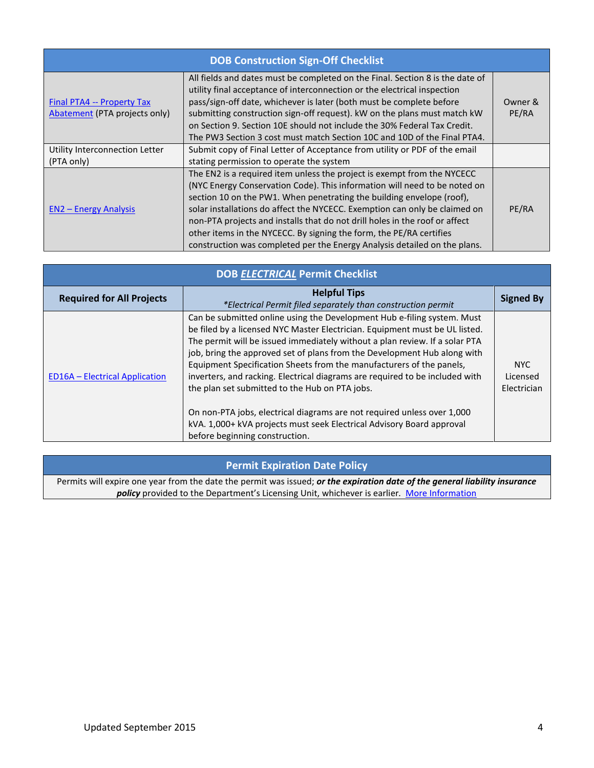| <b>DOB Construction Sign-Off Checklist</b>                  |                                                                                                                                                                                                                                                                                                                                                                                                                                                                                                                                                |                  |
|-------------------------------------------------------------|------------------------------------------------------------------------------------------------------------------------------------------------------------------------------------------------------------------------------------------------------------------------------------------------------------------------------------------------------------------------------------------------------------------------------------------------------------------------------------------------------------------------------------------------|------------------|
| Final PTA4 -- Property Tax<br>Abatement (PTA projects only) | All fields and dates must be completed on the Final. Section 8 is the date of<br>utility final acceptance of interconnection or the electrical inspection<br>pass/sign-off date, whichever is later (both must be complete before<br>submitting construction sign-off request). kW on the plans must match kW<br>on Section 9. Section 10E should not include the 30% Federal Tax Credit.<br>The PW3 Section 3 cost must match Section 10C and 10D of the Final PTA4.                                                                          | Owner &<br>PE/RA |
| Utility Interconnection Letter                              | Submit copy of Final Letter of Acceptance from utility or PDF of the email                                                                                                                                                                                                                                                                                                                                                                                                                                                                     |                  |
| (PTA only)                                                  | stating permission to operate the system                                                                                                                                                                                                                                                                                                                                                                                                                                                                                                       |                  |
| <b>EN2 - Energy Analysis</b>                                | The EN2 is a required item unless the project is exempt from the NYCECC<br>(NYC Energy Conservation Code). This information will need to be noted on<br>section 10 on the PW1. When penetrating the building envelope (roof),<br>solar installations do affect the NYCECC. Exemption can only be claimed on<br>non-PTA projects and installs that do not drill holes in the roof or affect<br>other items in the NYCECC. By signing the form, the PE/RA certifies<br>construction was completed per the Energy Analysis detailed on the plans. | PE/RA            |

| <b>DOB ELECTRICAL Permit Checklist</b> |                                                                                                                                                                                                                                                                                                                                                                                                                                                                                                                                                                                                                                                                                                                   |                                 |
|----------------------------------------|-------------------------------------------------------------------------------------------------------------------------------------------------------------------------------------------------------------------------------------------------------------------------------------------------------------------------------------------------------------------------------------------------------------------------------------------------------------------------------------------------------------------------------------------------------------------------------------------------------------------------------------------------------------------------------------------------------------------|---------------------------------|
| <b>Required for All Projects</b>       | <b>Helpful Tips</b><br>*Electrical Permit filed separately than construction permit                                                                                                                                                                                                                                                                                                                                                                                                                                                                                                                                                                                                                               | <b>Signed By</b>                |
| <b>ED16A - Electrical Application</b>  | Can be submitted online using the Development Hub e-filing system. Must<br>be filed by a licensed NYC Master Electrician. Equipment must be UL listed.<br>The permit will be issued immediately without a plan review. If a solar PTA<br>job, bring the approved set of plans from the Development Hub along with<br>Equipment Specification Sheets from the manufacturers of the panels,<br>inverters, and racking. Electrical diagrams are required to be included with<br>the plan set submitted to the Hub on PTA jobs.<br>On non-PTA jobs, electrical diagrams are not required unless over 1,000<br>kVA. 1,000+ kVA projects must seek Electrical Advisory Board approval<br>before beginning construction. | NYC.<br>Licensed<br>Electrician |

#### **Permit Expiration Date Policy**

Permits will expire one year from the date the permit was issued; *or the expiration date of the general liability insurance policy* provided to the Department's Licensing Unit, whichever is earlier. *[More Information](file:///C:/Users/LCOBB/Documents/Permit%20Expiration%20Date%20Policy)*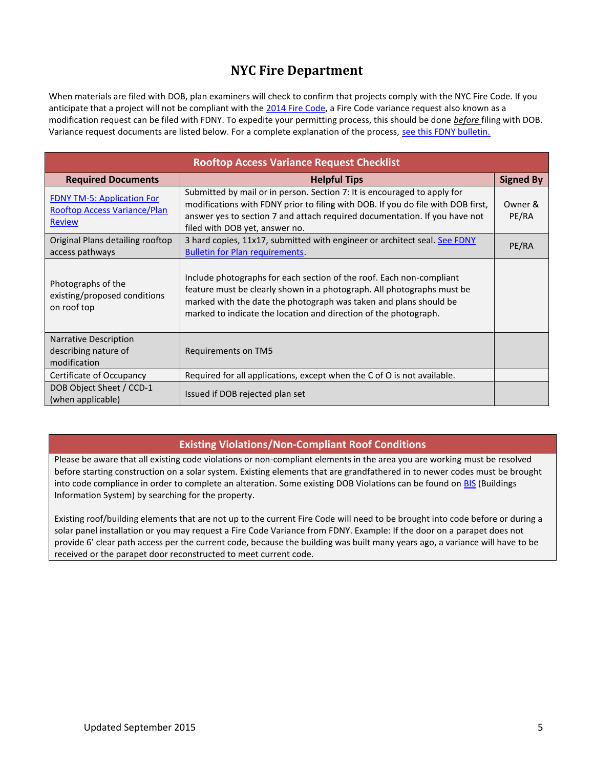### **NYC Fire Department**

When materials are filed with DOB, plan examiners will check to confirm that projects comply with the NYC Fire Code. If you anticipate that a project will not be compliant with th[e 2014 Fire Code,](http://www.nyc.gov/html/fdny/html/firecode/table_of_contents_2014.shtml) a Fire Code variance request also known as a modification request can be filed with FDNY. To expedite your permitting process, this should be done *before* filing with DOB. Variance request documents are listed below. For a complete explanation of the process, [see this FDNY bulletin.](http://www.nyc.gov/html/fdny/pdf/fire_prevention/otmb_02_2011.pdf)

| <b>Rooftop Access Variance Request Checklist</b>                                          |                                                                                                                                                                                                                                                                                         |                  |
|-------------------------------------------------------------------------------------------|-----------------------------------------------------------------------------------------------------------------------------------------------------------------------------------------------------------------------------------------------------------------------------------------|------------------|
| <b>Required Documents</b>                                                                 | <b>Helpful Tips</b>                                                                                                                                                                                                                                                                     | <b>Signed By</b> |
| <b>FDNY TM-5: Application For</b><br><b>Rooftop Access Variance/Plan</b><br><b>Review</b> | Submitted by mail or in person. Section 7: It is encouraged to apply for<br>modifications with FDNY prior to filing with DOB. If you do file with DOB first,<br>answer yes to section 7 and attach required documentation. If you have not<br>filed with DOB yet, answer no.            | Owner &<br>PE/RA |
| Original Plans detailing rooftop<br>access pathways                                       | 3 hard copies, 11x17, submitted with engineer or architect seal. See FDNY<br><b>Bulletin for Plan requirements.</b>                                                                                                                                                                     | PE/RA            |
| Photographs of the<br>existing/proposed conditions<br>on roof top                         | Include photographs for each section of the roof. Each non-compliant<br>feature must be clearly shown in a photograph. All photographs must be<br>marked with the date the photograph was taken and plans should be<br>marked to indicate the location and direction of the photograph. |                  |
| <b>Narrative Description</b><br>describing nature of<br>modification                      | Requirements on TM5                                                                                                                                                                                                                                                                     |                  |
| Certificate of Occupancy                                                                  | Required for all applications, except when the C of O is not available.                                                                                                                                                                                                                 |                  |
| DOB Object Sheet / CCD-1<br>(when applicable)                                             | Issued if DOB rejected plan set                                                                                                                                                                                                                                                         |                  |

#### **Existing Violations/Non-Compliant Roof Conditions**

Please be aware that all existing code violations or non-compliant elements in the area you are working must be resolved before starting construction on a solar system. Existing elements that are grandfathered in to newer codes must be brought into code compliance in order to complete an alteration. Some existing DOB Violations can be found on [BIS](http://a810-bisweb.nyc.gov/bisweb/bsqpm01.jsp) (Buildings Information System) by searching for the property.

Existing roof/building elements that are not up to the current Fire Code will need to be brought into code before or during a solar panel installation or you may request a Fire Code Variance from FDNY. Example: If the door on a parapet does not provide 6' clear path access per the current code, because the building was built many years ago, a variance will have to be received or the parapet door reconstructed to meet current code.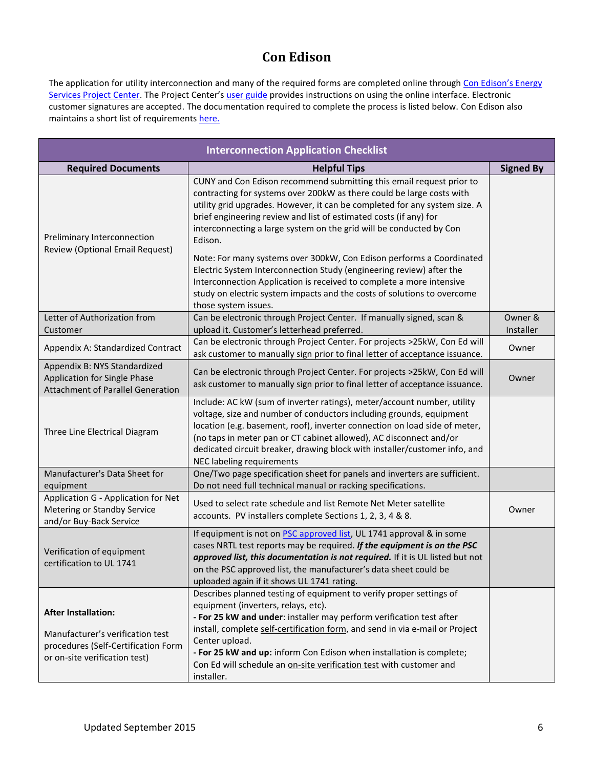## **Con Edison**

The application for utility interconnection and many of the required forms are completed online through Con Edison's Energy [Services Project Center](http://www.coned.com/es/). The Project Center's [user guide](http://www.coned.com/es/ESHelp.pdf) provides instructions on using the online interface. Electronic customer signatures are accepted. The documentation required to complete the process is listed below. Con Edison also maintains a short list of requirement[s here.](http://www.coned.com/dg/solarenergy/interconnection.asp)

| <b>Interconnection Application Checklist</b>                                                                                           |                                                                                                                                                                                                                                                                                                                                                                                                                                                                                                                                                                                                                                                                                                               |                      |
|----------------------------------------------------------------------------------------------------------------------------------------|---------------------------------------------------------------------------------------------------------------------------------------------------------------------------------------------------------------------------------------------------------------------------------------------------------------------------------------------------------------------------------------------------------------------------------------------------------------------------------------------------------------------------------------------------------------------------------------------------------------------------------------------------------------------------------------------------------------|----------------------|
| <b>Required Documents</b>                                                                                                              | <b>Helpful Tips</b>                                                                                                                                                                                                                                                                                                                                                                                                                                                                                                                                                                                                                                                                                           | <b>Signed By</b>     |
| Preliminary Interconnection<br>Review (Optional Email Request)                                                                         | CUNY and Con Edison recommend submitting this email request prior to<br>contracting for systems over 200kW as there could be large costs with<br>utility grid upgrades. However, it can be completed for any system size. A<br>brief engineering review and list of estimated costs (if any) for<br>interconnecting a large system on the grid will be conducted by Con<br>Edison.<br>Note: For many systems over 300kW, Con Edison performs a Coordinated<br>Electric System Interconnection Study (engineering review) after the<br>Interconnection Application is received to complete a more intensive<br>study on electric system impacts and the costs of solutions to overcome<br>those system issues. |                      |
| Letter of Authorization from<br>Customer                                                                                               | Can be electronic through Project Center. If manually signed, scan &<br>upload it. Customer's letterhead preferred.                                                                                                                                                                                                                                                                                                                                                                                                                                                                                                                                                                                           | Owner &<br>Installer |
| Appendix A: Standardized Contract                                                                                                      | Can be electronic through Project Center. For projects >25kW, Con Ed will<br>ask customer to manually sign prior to final letter of acceptance issuance.                                                                                                                                                                                                                                                                                                                                                                                                                                                                                                                                                      | Owner                |
| Appendix B: NYS Standardized<br>Application for Single Phase<br><b>Attachment of Parallel Generation</b>                               | Can be electronic through Project Center. For projects >25kW, Con Ed will<br>ask customer to manually sign prior to final letter of acceptance issuance.                                                                                                                                                                                                                                                                                                                                                                                                                                                                                                                                                      | Owner                |
| Three Line Electrical Diagram                                                                                                          | Include: AC kW (sum of inverter ratings), meter/account number, utility<br>voltage, size and number of conductors including grounds, equipment<br>location (e.g. basement, roof), inverter connection on load side of meter,<br>(no taps in meter pan or CT cabinet allowed), AC disconnect and/or<br>dedicated circuit breaker, drawing block with installer/customer info, and<br>NEC labeling requirements                                                                                                                                                                                                                                                                                                 |                      |
| Manufacturer's Data Sheet for<br>equipment                                                                                             | One/Two page specification sheet for panels and inverters are sufficient.<br>Do not need full technical manual or racking specifications.                                                                                                                                                                                                                                                                                                                                                                                                                                                                                                                                                                     |                      |
| Application G - Application for Net<br>Metering or Standby Service<br>and/or Buy-Back Service                                          | Used to select rate schedule and list Remote Net Meter satellite<br>accounts. PV installers complete Sections 1, 2, 3, 4 & 8.                                                                                                                                                                                                                                                                                                                                                                                                                                                                                                                                                                                 | Owner                |
| Verification of equipment<br>certification to UL 1741                                                                                  | If equipment is not on <b>PSC</b> approved list, UL 1741 approval & in some<br>cases NRTL test reports may be required. If the equipment is on the PSC<br>approved list, this documentation is not required. If it is UL listed but not<br>on the PSC approved list, the manufacturer's data sheet could be<br>uploaded again if it shows UL 1741 rating.                                                                                                                                                                                                                                                                                                                                                     |                      |
| <b>After Installation:</b><br>Manufacturer's verification test<br>procedures (Self-Certification Form<br>or on-site verification test) | Describes planned testing of equipment to verify proper settings of<br>equipment (inverters, relays, etc).<br>- For 25 kW and under: installer may perform verification test after<br>install, complete self-certification form, and send in via e-mail or Project<br>Center upload.<br>- For 25 kW and up: inform Con Edison when installation is complete;<br>Con Ed will schedule an on-site verification test with customer and<br>installer.                                                                                                                                                                                                                                                             |                      |